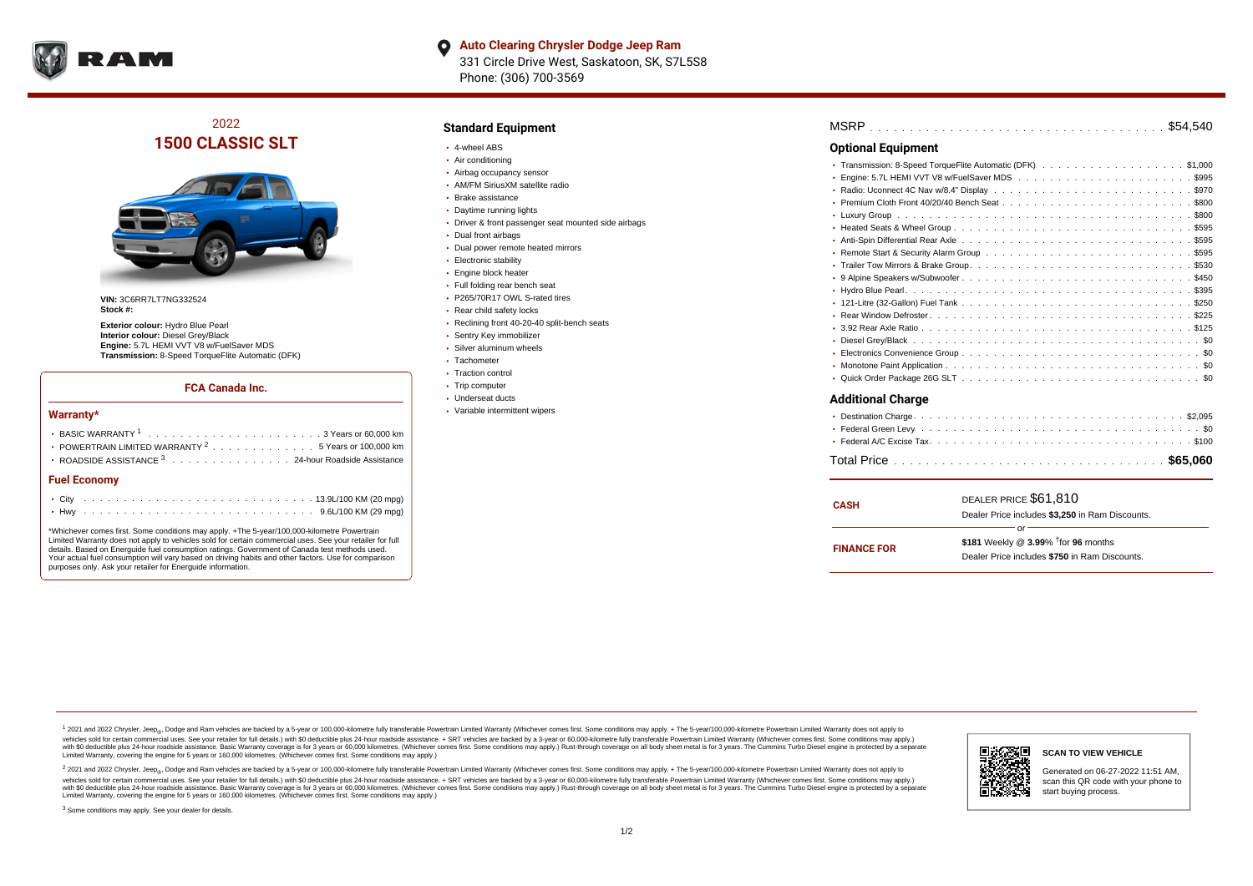

# 2022 **1500 CLASSIC SLT**



**VIN:** 3C6RR7LT7NG332524 **Stock #:**

**Exterior colour:** Hydro Blue Pearl **Interior colour:** Diesel Grey/Black **Engine:** 5.7L HEMI VVT V8 w/FuelSaver MDS **Transmission:** 8-Speed TorqueFlite Automatic (DFK)

#### **FCA Canada Inc.**

#### **Warranty\***

| • POWERTRAIN LIMITED WARRANTY <sup>2</sup> 5 Years or 100,000 km<br>• ROADSIDE ASSISTANCE 3 24-hour Roadside Assistance |  |  |  |  |  |  |  |  |  |  |  |  |  |
|-------------------------------------------------------------------------------------------------------------------------|--|--|--|--|--|--|--|--|--|--|--|--|--|
| <b>Fuel Economy</b>                                                                                                     |  |  |  |  |  |  |  |  |  |  |  |  |  |
|                                                                                                                         |  |  |  |  |  |  |  |  |  |  |  |  |  |
|                                                                                                                         |  |  |  |  |  |  |  |  |  |  |  |  |  |

\*Whichever comes first. Some conditions may apply. +The 5-year/100,000-kilometre Powertrain Limited Warranty does not apply to vehicles sold for certain commercial uses. See your retailer for full details. Based on Energuide fuel consumption ratings. Government of Canada test methods used. Your actual fuel consumption will vary based on driving habits and other factors. Use for comparison purposes only. Ask your retailer for Energuide information.

### **Standard Equipment**

- 4-wheel ABS
- Air conditioning
- Airbag occupancy sensor
- AM/FM SiriusXM satellite radio
- Brake assistance
- Daytime running lights
- Driver & front passenger seat mounted side airbags
- Dual front airbags
- Dual power remote heated mirrors
- **Electronic stability**
- **Engine block heater**
- Full folding rear bench seat
- P265/70R17 OWL S-rated tires
- Rear child safety locks
- Reclining front 40-20-40 split-bench seats
- Sentry Key immobilizer
- Silver aluminum wheels
- Tachometer
- Traction control
- Trip computer Underseat ducts
- Variable intermittent wipers

. . . . . . . . . . . . . . . . . . . . . . . . . . . . . . . . . . . . . . . . . . . . . . MSRP \$54,540 Transmission: 8-Speed TorqueFlite Automatic (DFK).........................\$1,000 Engine: 5.7L HEMI VVT V8 w/FuelSaver MDS  $\ldots \ldots \ldots \ldots \ldots \ldots \ldots \ldots \ldots \ldots$ . . . . . . . . . . . . . . . . . . . . . . . . . . . . . . . . . . . . . . . . . . . . . . Radio: Uconnect 4C Nav w/8.4" Display \$970 . . . . . . . . . . . . . . . . . . . . . . . . . . . . . . . . . . . . . . . . . . . . . . Premium Cloth Front 40/20/40 Bench Seat \$800 . . . . . . . . . . . . . . . . . . . . . . . . . . . . . . . . . . . . . . . . . . . . . . Luxury Group \$800 . . . . . . . . . . . . . . . . . . . . . . . . . . . . . . . . . . . . . . . . . . . . . . Heated Seats & Wheel Group \$595 Anti-Spin Differential Rear Axle ................................5595 Remote Start & Security Alarm Group  $\ldots \ldots \ldots \ldots \ldots \ldots \ldots \ldots \ldots \ldots \ldots$ \$595 . . . . . . . . . . . . . . . . . . . . . . . . . . . . . . . . . . . . . . . . . . . . . . Trailer Tow Mirrors & Brake Group \$530 . . . . . . . . . . . . . . . . . . . . . . . . . . . . . . . . . . . . . . . . . . . . . . 9 Alpine Speakers w/Subwoofer \$450 . . . . . . . . . . . . . . . . . . . . . . . . . . . . . . . . . . . . . . . . . . . . . . Hydro Blue Pearl \$395 . . . . . . . . . . . . . . . . . . . . . . . . . . . . . . . . . . . . . . . . . . . . . . 121-Litre (32-Gallon) Fuel Tank \$250 . . . . . . . . . . . . . . . . . . . . . . . . . . . . . . . . . . . . . . . . . . . . . . Rear Window Defroster \$225 . . . . . . . . . . . . . . . . . . . . . . . . . . . . . . . . . . . . . . . . . . . . . . 3.92 Rear Axle Ratio \$125 . . . . . . . . . . . . . . . . . . . . . . . . . . . . . . . . . . . . . . . . . . . . . . Diesel Grey/Black \$0 . . . . . . . . . . . . . . . . . . . . . . . . . . . . . . . . . . . . . . . . . . . . . . Electronics Convenience Group \$0 . . . . . . . . . . . . . . . . . . . . . . . . . . . . . . . . . . . . . . . . . . . . . . Monotone Paint Application \$0 Quick Order Package 26G SLT ...............................50 **Optional Equipment Additional Charge**

| CASH               | DEALER PRICE \$61,810<br>Dealer Price includes \$3,250 in Ram Discounts.                            |
|--------------------|-----------------------------------------------------------------------------------------------------|
| <b>FINANCE FOR</b> | \$181 Weekly @ $3.99\%$ <sup>†</sup> for 96 months<br>Dealer Price includes \$750 in Ram Discounts. |

<sup>1</sup> 2021 and 2022 Chrysler, Jeep<sub>®</sub>, Dodge and Ram vehicles are backed by a 5-year or 100,000-kilometre fully transferable Powertrain Limited Warranty (Whichever comes first. Some conditions may apply. + The 5-year/100,000 vehicles sold for certain commercial uses. See your retailer for full details.) with \$0 deductible plus 24-hour madside assistance. + SRT vehicles are backed by a 3-year or 60.000-kilometre fully transferable Powertrain Li ventals assume that the control of the control of the control of the control of the control of the control of the control of the control of the control of the control of the control of the control of the control of the con Limited Warranty, covering the engine for 5 years or 160,000 kilometres. (Whichever comes first. Some conditions may apply.)

2 2021 and 2022 Chrysler, Jeep<sub>®</sub>, Dodge and Ram vehicles are backed by a 5-year or 100,000-kilometre fully transferable Powertrain Limited Warranty (Whichever comes first. Some conditions may apply. + The 5-year/100,000-k vehicles sold for certain commercial uses. See your retailer for full details.) with SO deductible plus 24-hour roadside assistance. + SRT vehicles are backed by a 3-year or 60.000-kilometre fully transferable Powertrain L with S0 deductible plus 24-hour roadside assistance. Basic Warranty coverage is for 3 years or 60,000 kilometres. (Whichever comes first. Some conditions may apply.) Rust-through coverage on all body sheet metal is for 3 y



**SCAN TO VIEW VEHICLE**

Generated on 06-27-2022 11:51 AM, scan this QR code with your phone to start buying process.

<sup>3</sup> Some conditions may apply. See your dealer for details.